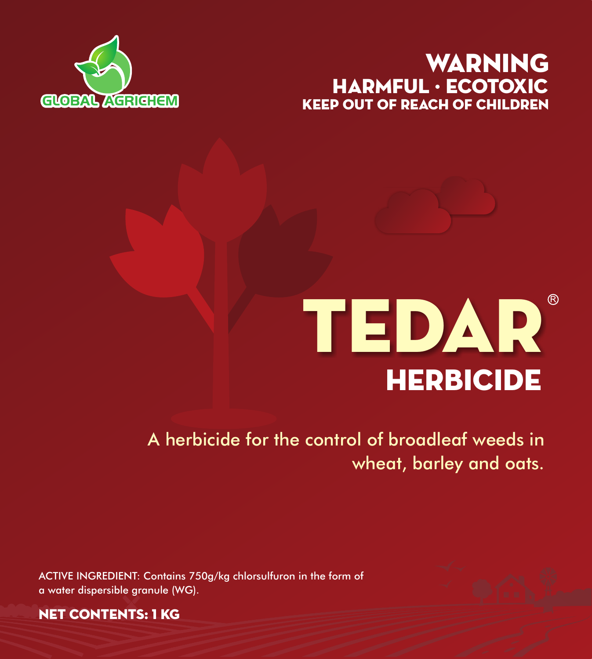# **GLOBAL AGRICHEM** KEEP OUT OF REACH OF CHILDREN WARNING HARMFUL · ECOTOXIC



# **HERBICIDE** TEDAR

A herbicide for the control of broadleaf weeds in wheat, barley and oats.

ACTIVE INGREDIENT: Contains 750g/kg chlorsulfuron in the form of a water dispersible granule (WG).



NET CONTENTS: 1 KG